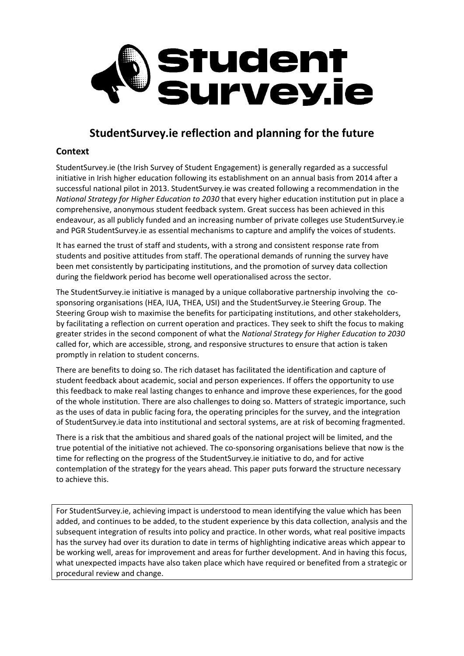

## **StudentSurvey.ie reflection and planning for the future**

## **Context**

StudentSurvey.ie (the Irish Survey of Student Engagement) is generally regarded as a successful initiative in Irish higher education following its establishment on an annual basis from 2014 after a successful national pilot in 2013. StudentSurvey.ie was created following a recommendation in the *National Strategy for Higher Education to 2030* that every higher education institution put in place a comprehensive, anonymous student feedback system. Great success has been achieved in this endeavour, as all publicly funded and an increasing number of private colleges use StudentSurvey.ie and PGR StudentSurvey.ie as essential mechanisms to capture and amplify the voices of students.

It has earned the trust of staff and students, with a strong and consistent response rate from students and positive attitudes from staff. The operational demands of running the survey have been met consistently by participating institutions, and the promotion of survey data collection during the fieldwork period has become well operationalised across the sector.

The StudentSurvey.ie initiative is managed by a unique collaborative partnership involving the cosponsoring organisations (HEA, IUA, THEA, USI) and the StudentSurvey.ie Steering Group. The Steering Group wish to maximise the benefits for participating institutions, and other stakeholders, by facilitating a reflection on current operation and practices. They seek to shift the focus to making greater strides in the second component of what the *National Strategy for Higher Education to 2030* called for, which are accessible, strong, and responsive structures to ensure that action is taken promptly in relation to student concerns.

There are benefits to doing so. The rich dataset has facilitated the identification and capture of student feedback about academic, social and person experiences. If offers the opportunity to use this feedback to make real lasting changes to enhance and improve these experiences, for the good of the whole institution. There are also challenges to doing so. Matters of strategic importance, such as the uses of data in public facing fora, the operating principles for the survey, and the integration of StudentSurvey.ie data into institutional and sectoral systems, are at risk of becoming fragmented.

There is a risk that the ambitious and shared goals of the national project will be limited, and the true potential of the initiative not achieved. The co-sponsoring organisations believe that now is the time for reflecting on the progress of the StudentSurvey.ie initiative to do, and for active contemplation of the strategy for the years ahead. This paper puts forward the structure necessary to achieve this.

For StudentSurvey.ie, achieving impact is understood to mean identifying the value which has been added, and continues to be added, to the student experience by this data collection, analysis and the subsequent integration of results into policy and practice. In other words, what real positive impacts has the survey had over its duration to date in terms of highlighting indicative areas which appear to be working well, areas for improvement and areas for further development. And in having this focus, what unexpected impacts have also taken place which have required or benefited from a strategic or procedural review and change.